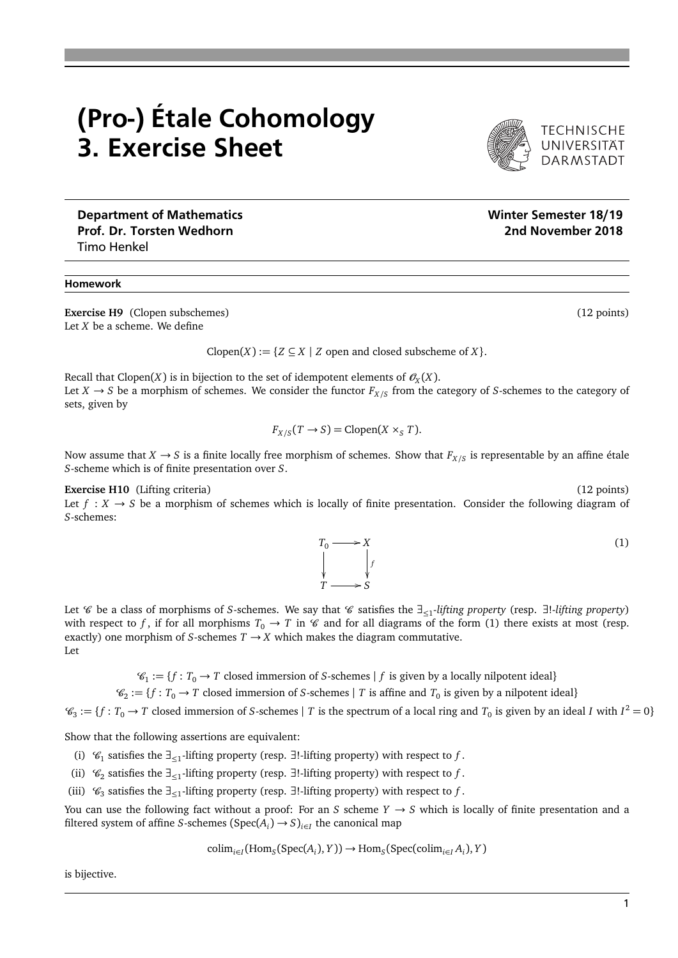## (Pro-) Étale Cohomology 3. Exercise Sheet

Department of Mathematics Number of Mathematics Number of Mathematics Number of Mathematics Number of Mathematics Prof. Dr. Torsten Wedhorn 2018 (2018) 2nd November 2018 Timo Henkel

## Homework

**Exercise H9** (Clopen subschemes) (12 points) (12 points) Let *X* be a scheme. We define

Clopen $(X) := \{ Z \subseteq X \mid Z \text{ open and closed subscheme of } X \}.$ 

Recall that Clopen(*X*) is in bijection to the set of idempotent elements of  $\mathscr{O}_X(X)$ . Let  $X \to S$  be a morphism of schemes. We consider the functor  $F_{X/S}$  from the category of *S*-schemes to the category of sets, given by

$$
F_{X/S}(T \to S) = \text{Clopen}(X \times_S T).
$$

Now assume that  $X \to S$  is a finite locally free morphism of schemes. Show that  $F_{X/S}$  is representable by an affine étale *S*-scheme which is of finite presentation over *S*.

**Exercise H10** (Lifting criteria) (12 points) (12 points) Let  $f: X \to S$  be a morphism of schemes which is locally of finite presentation. Consider the following diagram of *S*-schemes:

Let C be a class of morphisms of *S*-schemes. We say that C satisfies the ∃<sup>≤</sup><sup>1</sup> *-lifting property* (resp. ∃!*-lifting property*) with respect to f, if for all morphisms  $T_0 \to T$  in  $\mathcal C$  and for all diagrams of the form (1) there exists at most (resp. exactly) one morphism of *S*-schemes  $T \rightarrow X$  which makes the diagram commutative. Let

 $\mathscr{C}_1 := \{ f : T_0 \to T \text{ closed immersion of } S\text{-schemes} \mid f \text{ is given by a locally nilpotent ideal} \}$ 

 $\mathcal{C}_2 := \{ f : T_0 \to T \text{ closed immersion of } S \text{-schemes} \mid T \text{ is affine and } T_0 \text{ is given by a nilpotent ideal} \}$ 

 $\mathcal{C}_3 := \{ f : T_0 \to T \text{ closed immersion of } S \text{-schemes} \mid T \text{ is the spectrum of a local ring and } T_0 \text{ is given by an ideal } I \text{ with } I^2 = 0 \}$ 

Show that the following assertions are equivalent:

- (i)  $\mathcal{C}_1$  satisfies the ∃<sub>≤1</sub>-lifting property (resp. ∃!-lifting property) with respect to *f*.
- (ii)  $\mathcal{C}_2$  satisfies the  $∃_{≤1}$ -lifting property (resp. ∃!-lifting property) with respect to *f*.
- (iii)  $\mathcal{C}_3$  satisfies the  $\exists_{\leq 1}$ -lifting property (resp.  $\exists$ !-lifting property) with respect to *f*.

You can use the following fact without a proof: For an *S* scheme  $Y \rightarrow S$  which is locally of finite presentation and a filtered system of affine *S*-schemes  $(Spec(A_i) \rightarrow S)_{i \in I}$  the canonical map

$$
\text{colim}_{i \in I}(\text{Hom}_{S}(\text{Spec}(A_{i}), Y)) \to \text{Hom}_{S}(\text{Spec}(\text{colim}_{i \in I}A_{i}), Y)
$$

is bijective.

*f* ľ /*S*

(1)